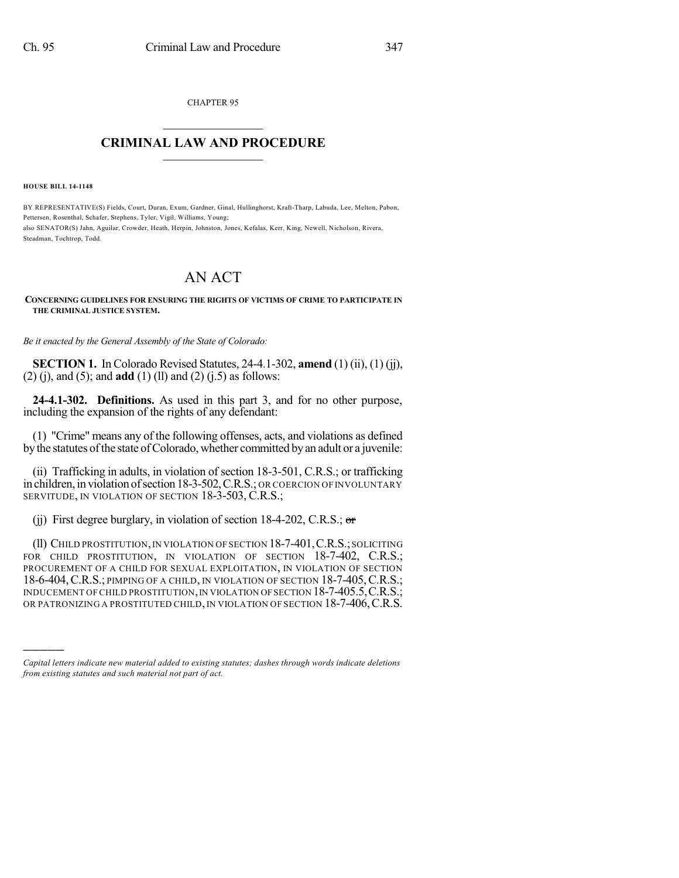CHAPTER 95

## $\overline{\phantom{a}}$  . The set of the set of the set of the set of the set of the set of the set of the set of the set of the set of the set of the set of the set of the set of the set of the set of the set of the set of the set o **CRIMINAL LAW AND PROCEDURE**  $\frac{1}{2}$  ,  $\frac{1}{2}$  ,  $\frac{1}{2}$  ,  $\frac{1}{2}$  ,  $\frac{1}{2}$  ,  $\frac{1}{2}$  ,  $\frac{1}{2}$

**HOUSE BILL 14-1148**

)))))

BY REPRESENTATIVE(S) Fields, Court, Duran, Exum, Gardner, Ginal, Hullinghorst, Kraft-Tharp, Labuda, Lee, Melton, Pabon, Pettersen, Rosenthal, Schafer, Stephens, Tyler, Vigil, Williams, Young; also SENATOR(S) Jahn, Aguilar, Crowder, Heath, Herpin, Johnston, Jones, Kefalas, Kerr, King, Newell, Nicholson, Rivera, Steadman, Tochtrop, Todd.

## AN ACT

## **CONCERNING GUIDELINES FOR ENSURING THE RIGHTS OF VICTIMS OF CRIME TO PARTICIPATE IN THE CRIMINAL JUSTICE SYSTEM.**

*Be it enacted by the General Assembly of the State of Colorado:*

**SECTION 1.** In Colorado Revised Statutes, 24-4.1-302, **amend** (1) (ii), (1) (jj), (2) (j), and (5); and **add** (1) (ll) and (2) (j.5) as follows:

**24-4.1-302. Definitions.** As used in this part 3, and for no other purpose, including the expansion of the rights of any defendant:

(1) "Crime" means any of the following offenses, acts, and violations as defined by the statutes of the state of Colorado, whether committed by an adult or a juvenile:

(ii) Trafficking in adults, in violation of section 18-3-501, C.R.S.; or trafficking in children, in violation of section 18-3-502, C.R.S.; OR COERCION OF INVOLUNTARY SERVITUDE, IN VIOLATION OF SECTION 18-3-503, C.R.S.;

(ii) First degree burglary, in violation of section 18-4-202, C.R.S.;  $\sigma$ 

(ll) CHILD PROSTITUTION,IN VIOLATION OF SECTION 18-7-401,C.R.S.;SOLICITING FOR CHILD PROSTITUTION, IN VIOLATION OF SECTION 18-7-402, C.R.S.; PROCUREMENT OF A CHILD FOR SEXUAL EXPLOITATION, IN VIOLATION OF SECTION 18-6-404, C.R.S.; PIMPING OF A CHILD, IN VIOLATION OF SECTION 18-7-405, C.R.S.; INDUCEMENT OF CHILD PROSTITUTION, IN VIOLATION OF SECTION 18-7-405.5, C.R.S.; OR PATRONIZING A PROSTITUTED CHILD, IN VIOLATION OF SECTION 18-7-406, C.R.S.

*Capital letters indicate new material added to existing statutes; dashes through words indicate deletions from existing statutes and such material not part of act.*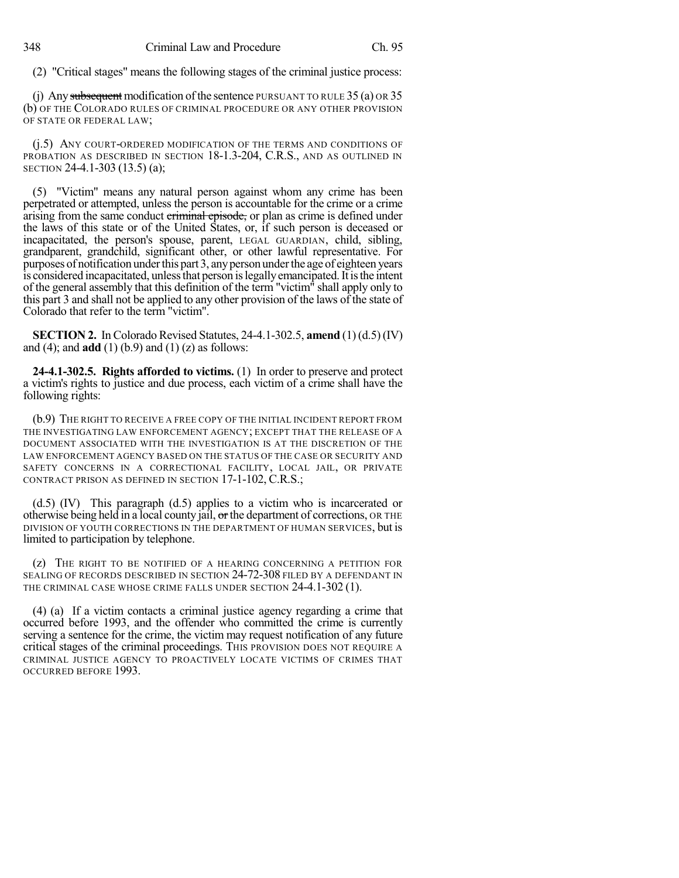(2) "Critical stages" means the following stages of the criminal justice process:

(j) Any subsequent modification of the sentence PURSUANT TO RULE  $35$  (a) OR  $35$ (b) OF THE COLORADO RULES OF CRIMINAL PROCEDURE OR ANY OTHER PROVISION OF STATE OR FEDERAL LAW;

(j.5) ANY COURT-ORDERED MODIFICATION OF THE TERMS AND CONDITIONS OF PROBATION AS DESCRIBED IN SECTION 18-1.3-204, C.R.S., AND AS OUTLINED IN SECTION 24-4.1-303 (13.5) (a);

(5) "Victim" means any natural person against whom any crime has been perpetrated or attempted, unless the person is accountable for the crime or a crime arising from the same conduct criminal episode, or plan as crime is defined under the laws of this state or of the United States, or, if such person is deceased or incapacitated, the person's spouse, parent, LEGAL GUARDIAN, child, sibling, grandparent, grandchild, significant other, or other lawful representative. For purposes of notification under this part 3, any person under the age of eighteen years is considered incapacitated, unless that person is legally emancipated. It is the intent of the general assembly that this definition of the term "victim" shall apply only to this part 3 and shall not be applied to any other provision of the laws of the state of Colorado that refer to the term "victim".

**SECTION 2.** In Colorado Revised Statutes, 24-4.1-302.5, **amend** (1)(d.5) (IV) and (4); and **add** (1) (b.9) and (1) (z) as follows:

**24-4.1-302.5. Rights afforded to victims.** (1) In order to preserve and protect a victim's rights to justice and due process, each victim of a crime shall have the following rights:

(b.9) THE RIGHT TO RECEIVE A FREE COPY OF THE INITIAL INCIDENT REPORT FROM THE INVESTIGATING LAW ENFORCEMENT AGENCY; EXCEPT THAT THE RELEASE OF A DOCUMENT ASSOCIATED WITH THE INVESTIGATION IS AT THE DISCRETION OF THE LAW ENFORCEMENT AGENCY BASED ON THE STATUS OF THE CASE OR SECURITY AND SAFETY CONCERNS IN A CORRECTIONAL FACILITY, LOCAL JAIL, OR PRIVATE CONTRACT PRISON AS DEFINED IN SECTION 17-1-102, C.R.S.;

(d.5) (IV) This paragraph (d.5) applies to a victim who is incarcerated or otherwise being held in a local county jail,  $\sigma$  the department of corrections, OR THE DIVISION OF YOUTH CORRECTIONS IN THE DEPARTMENT OF HUMAN SERVICES, but is limited to participation by telephone.

(z) THE RIGHT TO BE NOTIFIED OF A HEARING CONCERNING A PETITION FOR SEALING OF RECORDS DESCRIBED IN SECTION 24-72-308 FILED BY A DEFENDANT IN THE CRIMINAL CASE WHOSE CRIME FALLS UNDER SECTION 24-4.1-302 (1).

(4) (a) If a victim contacts a criminal justice agency regarding a crime that occurred before 1993, and the offender who committed the crime is currently serving a sentence for the crime, the victim may request notification of any future critical stages of the criminal proceedings. THIS PROVISION DOES NOT REQUIRE A CRIMINAL JUSTICE AGENCY TO PROACTIVELY LOCATE VICTIMS OF CRIMES THAT OCCURRED BEFORE 1993.